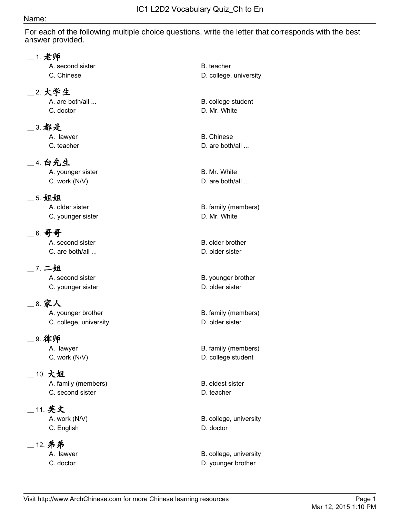#### Name:

For each of the following multiple choice questions, write the letter that corresponds with the best answer provided.

#### \_\_ 1. 老师

A. second sister B. teacher

#### \_\_ 2. 大学生

C. doctor D. Mr. White

#### \_\_ 3. 都是

#### \_\_ 4. 白先生

A. younger sister **B. Mr. White** C. work (N/V) D. are both/all ...

#### \_\_ 5. 姐姐

C. younger sister **D.** Mr. White

## \_\_ 6. 哥哥

A. second sister **B.** older brother C. are both/all ... **D.** older sister

# \_\_ 7. 二姐

C. younger sister **D.** older sister

## \_\_ 8. 家人

C. college, university and the collection of the C. collection of D. older sister

#### \_\_ 9. 律师

## \_\_ 10. 大姐

A. family (members) B. eldest sister C. second sister **D. teacher** 

## \_\_ 11. 英文

C. English D. doctor

## \_\_ 12. 弟弟

C. Chinese D. college, university

A. are both/all ... **B.** college student

A. lawyer B. Chinese

C. teacher **D.** are both/all ...

A. older sister **B.** family (members)

A. second sister **B.** younger brother

A. younger brother B. family (members)

A. lawyer **B.** family (members) C. work (N/V) D. college student

A. work (N/V) B. college, university

A. lawyer **B. college, university** C. doctor D. younger brother